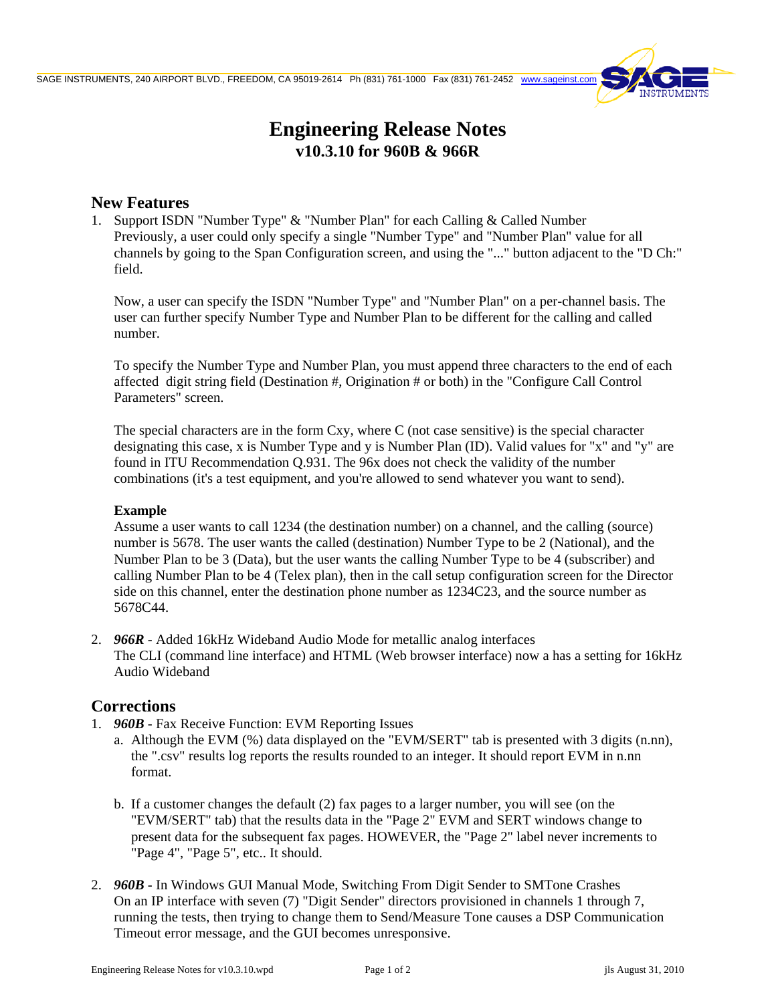

# **Engineering Release Notes v10.3.10 for 960B & 966R**

### **New Features**

1. Support ISDN "Number Type" & "Number Plan" for each Calling & Called Number Previously, a user could only specify a single "Number Type" and "Number Plan" value for all channels by going to the Span Configuration screen, and using the "..." button adjacent to the "D Ch:" field.

Now, a user can specify the ISDN "Number Type" and "Number Plan" on a per-channel basis. The user can further specify Number Type and Number Plan to be different for the calling and called number.

To specify the Number Type and Number Plan, you must append three characters to the end of each affected digit string field (Destination #, Origination # or both) in the "Configure Call Control Parameters" screen.

The special characters are in the form Cxy, where C (not case sensitive) is the special character designating this case, x is Number Type and y is Number Plan (ID). Valid values for "x" and "y" are found in ITU Recommendation Q.931. The 96x does not check the validity of the number combinations (it's a test equipment, and you're allowed to send whatever you want to send).

#### **Example**

Assume a user wants to call 1234 (the destination number) on a channel, and the calling (source) number is 5678. The user wants the called (destination) Number Type to be 2 (National), and the Number Plan to be 3 (Data), but the user wants the calling Number Type to be 4 (subscriber) and calling Number Plan to be 4 (Telex plan), then in the call setup configuration screen for the Director side on this channel, enter the destination phone number as 1234C23, and the source number as 5678C44.

2. *966R* - Added 16kHz Wideband Audio Mode for metallic analog interfaces The CLI (command line interface) and HTML (Web browser interface) now a has a setting for 16kHz Audio Wideband

## **Corrections**

- 1. *960B* Fax Receive Function: EVM Reporting Issues
	- a. Although the EVM (%) data displayed on the "EVM/SERT" tab is presented with 3 digits (n.nn), the ".csv" results log reports the results rounded to an integer. It should report EVM in n.nn format.
	- b. If a customer changes the default (2) fax pages to a larger number, you will see (on the "EVM/SERT" tab) that the results data in the "Page 2" EVM and SERT windows change to present data for the subsequent fax pages. HOWEVER, the "Page 2" label never increments to "Page 4", "Page 5", etc.. It should.
- 2. *960B* In Windows GUI Manual Mode, Switching From Digit Sender to SMTone Crashes On an IP interface with seven (7) "Digit Sender" directors provisioned in channels 1 through 7, running the tests, then trying to change them to Send/Measure Tone causes a DSP Communication Timeout error message, and the GUI becomes unresponsive.